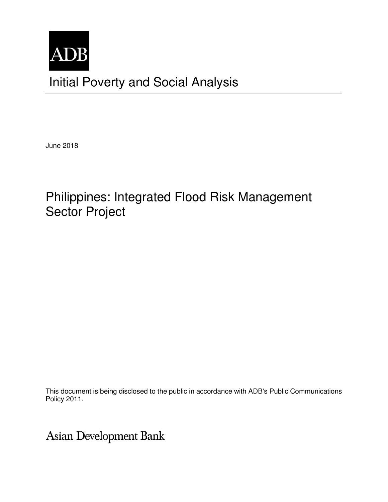

June 2018

# Philippines: Integrated Flood Risk Management Sector Project

This document is being disclosed to the public in accordance with ADB's Public Communications Policy 2011.

Asian Development Bank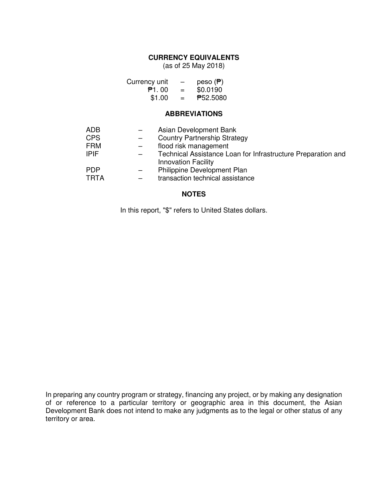### **CURRENCY EQUIVALENTS**

(as of 25 May 2018)

| Currency unit | —   | peso $(P)$ |
|---------------|-----|------------|
| P1.00         | $=$ | \$0.0190   |
| \$1.00        | $=$ | ₱52.5080   |

#### **ABBREVIATIONS**

| ADB<br><b>CPS</b><br><b>FRM</b><br><b>IPIF</b> | Asian Development Bank<br><b>Country Partnership Strategy</b><br>flood risk management<br>Technical Assistance Loan for Infrastructure Preparation and |
|------------------------------------------------|--------------------------------------------------------------------------------------------------------------------------------------------------------|
| <b>PDP</b><br><b>TRTA</b>                      | <b>Innovation Facility</b><br>Philippine Development Plan<br>transaction technical assistance                                                          |

### **NOTES**

In this report, "\$" refers to United States dollars.

In preparing any country program or strategy, financing any project, or by making any designation of or reference to a particular territory or geographic area in this document, the Asian Development Bank does not intend to make any judgments as to the legal or other status of any territory or area.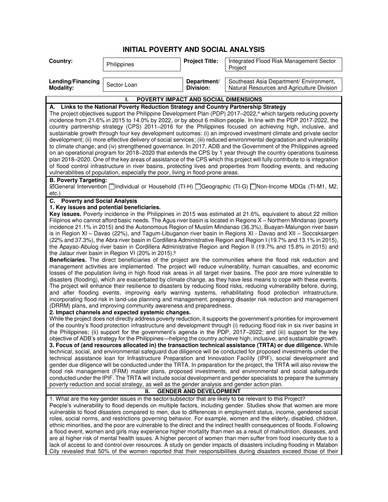## **INITIAL POVERTY AND SOCIAL ANALYSIS**

| Lending/Financing<br>Southeast Asia Department/ Environment,<br>Department/<br>Sector Loan<br><b>Modality:</b><br>Division:<br>Natural Resources and Agriculture Division<br>POVERTY IMPACT AND SOCIAL DIMENSIONS<br>A. Links to the National Poverty Reduction Strategy and Country Partnership Strategy<br>The project objectives support the Philippine Development Plan (PDP) 2017–2022, <sup>a</sup> which targets reducing poverty<br>incidence from 21.6% in 2015 to 14.0% by 2022, or by about 6 million people. In line with the PDP 2017-2022, the<br>country partnership strategy (CPS) 2011-2016 for the Philippines focused on achieving high, inclusive, and<br>sustainable growth through four key development outcomes: (i) an improved investment climate and private sector<br>development; (ii) more effective delivery of social services; (iii) reduced environmental degradation and vulnerability<br>to climate change; and (iv) strengthened governance. In 2017, ADB and the Government of the Philippines agreed<br>on an operational program for 2018–2020 that extends the CPS by 1 year through the country operations business<br>plan 2018–2020. One of the key areas of assistance of the CPS which this project will fully contribute to is integration<br>of flood control infrastructure in river basins, protecting lives and properties from flooding events, and reducing<br>vulnerabilities of population, especially the poor, living in flood-prone areas.<br><b>B. Poverty Targeting:</b><br>⊠General Intervention Individual or Household (TI-H) IGeographic (TI-G) INon-Income MDGs (TI-M1, M2, |  |  |  |  |
|---------------------------------------------------------------------------------------------------------------------------------------------------------------------------------------------------------------------------------------------------------------------------------------------------------------------------------------------------------------------------------------------------------------------------------------------------------------------------------------------------------------------------------------------------------------------------------------------------------------------------------------------------------------------------------------------------------------------------------------------------------------------------------------------------------------------------------------------------------------------------------------------------------------------------------------------------------------------------------------------------------------------------------------------------------------------------------------------------------------------------------------------------------------------------------------------------------------------------------------------------------------------------------------------------------------------------------------------------------------------------------------------------------------------------------------------------------------------------------------------------------------------------------------------------------------------------------------------------------------------------------------------|--|--|--|--|
|                                                                                                                                                                                                                                                                                                                                                                                                                                                                                                                                                                                                                                                                                                                                                                                                                                                                                                                                                                                                                                                                                                                                                                                                                                                                                                                                                                                                                                                                                                                                                                                                                                             |  |  |  |  |
|                                                                                                                                                                                                                                                                                                                                                                                                                                                                                                                                                                                                                                                                                                                                                                                                                                                                                                                                                                                                                                                                                                                                                                                                                                                                                                                                                                                                                                                                                                                                                                                                                                             |  |  |  |  |
|                                                                                                                                                                                                                                                                                                                                                                                                                                                                                                                                                                                                                                                                                                                                                                                                                                                                                                                                                                                                                                                                                                                                                                                                                                                                                                                                                                                                                                                                                                                                                                                                                                             |  |  |  |  |
|                                                                                                                                                                                                                                                                                                                                                                                                                                                                                                                                                                                                                                                                                                                                                                                                                                                                                                                                                                                                                                                                                                                                                                                                                                                                                                                                                                                                                                                                                                                                                                                                                                             |  |  |  |  |
|                                                                                                                                                                                                                                                                                                                                                                                                                                                                                                                                                                                                                                                                                                                                                                                                                                                                                                                                                                                                                                                                                                                                                                                                                                                                                                                                                                                                                                                                                                                                                                                                                                             |  |  |  |  |
|                                                                                                                                                                                                                                                                                                                                                                                                                                                                                                                                                                                                                                                                                                                                                                                                                                                                                                                                                                                                                                                                                                                                                                                                                                                                                                                                                                                                                                                                                                                                                                                                                                             |  |  |  |  |
|                                                                                                                                                                                                                                                                                                                                                                                                                                                                                                                                                                                                                                                                                                                                                                                                                                                                                                                                                                                                                                                                                                                                                                                                                                                                                                                                                                                                                                                                                                                                                                                                                                             |  |  |  |  |
|                                                                                                                                                                                                                                                                                                                                                                                                                                                                                                                                                                                                                                                                                                                                                                                                                                                                                                                                                                                                                                                                                                                                                                                                                                                                                                                                                                                                                                                                                                                                                                                                                                             |  |  |  |  |
|                                                                                                                                                                                                                                                                                                                                                                                                                                                                                                                                                                                                                                                                                                                                                                                                                                                                                                                                                                                                                                                                                                                                                                                                                                                                                                                                                                                                                                                                                                                                                                                                                                             |  |  |  |  |
|                                                                                                                                                                                                                                                                                                                                                                                                                                                                                                                                                                                                                                                                                                                                                                                                                                                                                                                                                                                                                                                                                                                                                                                                                                                                                                                                                                                                                                                                                                                                                                                                                                             |  |  |  |  |
|                                                                                                                                                                                                                                                                                                                                                                                                                                                                                                                                                                                                                                                                                                                                                                                                                                                                                                                                                                                                                                                                                                                                                                                                                                                                                                                                                                                                                                                                                                                                                                                                                                             |  |  |  |  |
|                                                                                                                                                                                                                                                                                                                                                                                                                                                                                                                                                                                                                                                                                                                                                                                                                                                                                                                                                                                                                                                                                                                                                                                                                                                                                                                                                                                                                                                                                                                                                                                                                                             |  |  |  |  |
|                                                                                                                                                                                                                                                                                                                                                                                                                                                                                                                                                                                                                                                                                                                                                                                                                                                                                                                                                                                                                                                                                                                                                                                                                                                                                                                                                                                                                                                                                                                                                                                                                                             |  |  |  |  |
|                                                                                                                                                                                                                                                                                                                                                                                                                                                                                                                                                                                                                                                                                                                                                                                                                                                                                                                                                                                                                                                                                                                                                                                                                                                                                                                                                                                                                                                                                                                                                                                                                                             |  |  |  |  |
| $etc.$ )                                                                                                                                                                                                                                                                                                                                                                                                                                                                                                                                                                                                                                                                                                                                                                                                                                                                                                                                                                                                                                                                                                                                                                                                                                                                                                                                                                                                                                                                                                                                                                                                                                    |  |  |  |  |
| C. Poverty and Social Analysis<br>1. Key issues and potential beneficiaries.                                                                                                                                                                                                                                                                                                                                                                                                                                                                                                                                                                                                                                                                                                                                                                                                                                                                                                                                                                                                                                                                                                                                                                                                                                                                                                                                                                                                                                                                                                                                                                |  |  |  |  |
| Key issues. Poverty incidence in the Philippines in 2015 was estimated at 21.6%, equivalent to about 22 million                                                                                                                                                                                                                                                                                                                                                                                                                                                                                                                                                                                                                                                                                                                                                                                                                                                                                                                                                                                                                                                                                                                                                                                                                                                                                                                                                                                                                                                                                                                             |  |  |  |  |
| Filipinos who cannot afford basic needs. The Agus river basin is located in Regions X - Northern Mindanao (poverty                                                                                                                                                                                                                                                                                                                                                                                                                                                                                                                                                                                                                                                                                                                                                                                                                                                                                                                                                                                                                                                                                                                                                                                                                                                                                                                                                                                                                                                                                                                          |  |  |  |  |
| incidence 21.1% in 2015) and the Autonomous Region of Muslim Mindanao (36.3%), Buayan-Malungon river basin                                                                                                                                                                                                                                                                                                                                                                                                                                                                                                                                                                                                                                                                                                                                                                                                                                                                                                                                                                                                                                                                                                                                                                                                                                                                                                                                                                                                                                                                                                                                  |  |  |  |  |
| is in Region XI - Davao (22%), and Tagum-Libuganon river basin in Regions XI - Davao and XII - Soccsksargen                                                                                                                                                                                                                                                                                                                                                                                                                                                                                                                                                                                                                                                                                                                                                                                                                                                                                                                                                                                                                                                                                                                                                                                                                                                                                                                                                                                                                                                                                                                                 |  |  |  |  |
| (22% and 37.3%), the Abra river basin in Cordillera Administrative Region and Region I (19.7% and 13.1% in 2015),                                                                                                                                                                                                                                                                                                                                                                                                                                                                                                                                                                                                                                                                                                                                                                                                                                                                                                                                                                                                                                                                                                                                                                                                                                                                                                                                                                                                                                                                                                                           |  |  |  |  |
| the Apayao-Abulog river basin in Cordillera Administrative Region and Region II (19.7% and 15.8% in 2015) and                                                                                                                                                                                                                                                                                                                                                                                                                                                                                                                                                                                                                                                                                                                                                                                                                                                                                                                                                                                                                                                                                                                                                                                                                                                                                                                                                                                                                                                                                                                               |  |  |  |  |
| the Jalaur river basin in Region VI (20% in 2015). <sup>b</sup><br>Beneficiaries. The direct beneficiaries of the project are the communities where the flood risk reduction and                                                                                                                                                                                                                                                                                                                                                                                                                                                                                                                                                                                                                                                                                                                                                                                                                                                                                                                                                                                                                                                                                                                                                                                                                                                                                                                                                                                                                                                            |  |  |  |  |
| management activities are implemented. The project will reduce vulnerability, human casualties, and economic                                                                                                                                                                                                                                                                                                                                                                                                                                                                                                                                                                                                                                                                                                                                                                                                                                                                                                                                                                                                                                                                                                                                                                                                                                                                                                                                                                                                                                                                                                                                |  |  |  |  |
| losses of the population living in high flood risk areas in all target river basins. The poor are more vulnerable to                                                                                                                                                                                                                                                                                                                                                                                                                                                                                                                                                                                                                                                                                                                                                                                                                                                                                                                                                                                                                                                                                                                                                                                                                                                                                                                                                                                                                                                                                                                        |  |  |  |  |
| disasters (flooding), which are exacerbated by climate change, as they have less means to cope with these events.                                                                                                                                                                                                                                                                                                                                                                                                                                                                                                                                                                                                                                                                                                                                                                                                                                                                                                                                                                                                                                                                                                                                                                                                                                                                                                                                                                                                                                                                                                                           |  |  |  |  |
| The project will enhance their resilience to disasters by reducing flood risks, reducing vulnerability before, during,                                                                                                                                                                                                                                                                                                                                                                                                                                                                                                                                                                                                                                                                                                                                                                                                                                                                                                                                                                                                                                                                                                                                                                                                                                                                                                                                                                                                                                                                                                                      |  |  |  |  |
| and after flooding events, improving early warning systems, rehabilitating flood protection infrastructure,                                                                                                                                                                                                                                                                                                                                                                                                                                                                                                                                                                                                                                                                                                                                                                                                                                                                                                                                                                                                                                                                                                                                                                                                                                                                                                                                                                                                                                                                                                                                 |  |  |  |  |
| incorporating flood risk in land-use planning and management, preparing disaster risk reduction and management                                                                                                                                                                                                                                                                                                                                                                                                                                                                                                                                                                                                                                                                                                                                                                                                                                                                                                                                                                                                                                                                                                                                                                                                                                                                                                                                                                                                                                                                                                                              |  |  |  |  |
| (DRRM) plans, and improving community awareness and preparedness.<br>2. Impact channels and expected systemic changes.                                                                                                                                                                                                                                                                                                                                                                                                                                                                                                                                                                                                                                                                                                                                                                                                                                                                                                                                                                                                                                                                                                                                                                                                                                                                                                                                                                                                                                                                                                                      |  |  |  |  |
| While the project does not directly address poverty reduction, it supports the government's priorities for improvement                                                                                                                                                                                                                                                                                                                                                                                                                                                                                                                                                                                                                                                                                                                                                                                                                                                                                                                                                                                                                                                                                                                                                                                                                                                                                                                                                                                                                                                                                                                      |  |  |  |  |
| of the country's flood protection infrastructure and development through (i) reducing flood risk in six river basins in                                                                                                                                                                                                                                                                                                                                                                                                                                                                                                                                                                                                                                                                                                                                                                                                                                                                                                                                                                                                                                                                                                                                                                                                                                                                                                                                                                                                                                                                                                                     |  |  |  |  |
| the Philippines; (ii) support for the government's agenda in the PDP, 2017-2022; and (iii) support for the key                                                                                                                                                                                                                                                                                                                                                                                                                                                                                                                                                                                                                                                                                                                                                                                                                                                                                                                                                                                                                                                                                                                                                                                                                                                                                                                                                                                                                                                                                                                              |  |  |  |  |
| objective of ADB's strategy for the Philippines—helping the country achieve high, inclusive, and sustainable growth.                                                                                                                                                                                                                                                                                                                                                                                                                                                                                                                                                                                                                                                                                                                                                                                                                                                                                                                                                                                                                                                                                                                                                                                                                                                                                                                                                                                                                                                                                                                        |  |  |  |  |
| 3. Focus of (and resources allocated in) the transaction technical assistance (TRTA) or due diligence. While                                                                                                                                                                                                                                                                                                                                                                                                                                                                                                                                                                                                                                                                                                                                                                                                                                                                                                                                                                                                                                                                                                                                                                                                                                                                                                                                                                                                                                                                                                                                |  |  |  |  |
| technical, social, and environmental safeguard due diligence will be conducted for proposed investments under the                                                                                                                                                                                                                                                                                                                                                                                                                                                                                                                                                                                                                                                                                                                                                                                                                                                                                                                                                                                                                                                                                                                                                                                                                                                                                                                                                                                                                                                                                                                           |  |  |  |  |
| technical assistance loan for Infrastructure Preparation and Innovation Facility (IPIF), social development and<br>gender due diligence will be conducted under the TRTA. In preparation for the project, the TRTA will also review the                                                                                                                                                                                                                                                                                                                                                                                                                                                                                                                                                                                                                                                                                                                                                                                                                                                                                                                                                                                                                                                                                                                                                                                                                                                                                                                                                                                                     |  |  |  |  |
| flood risk management (FRM) master plans, proposed investments, and environmental and social safeguards                                                                                                                                                                                                                                                                                                                                                                                                                                                                                                                                                                                                                                                                                                                                                                                                                                                                                                                                                                                                                                                                                                                                                                                                                                                                                                                                                                                                                                                                                                                                     |  |  |  |  |
| conducted under the IPIF. The TRTA will include social development and gender specialists to prepare the summary                                                                                                                                                                                                                                                                                                                                                                                                                                                                                                                                                                                                                                                                                                                                                                                                                                                                                                                                                                                                                                                                                                                                                                                                                                                                                                                                                                                                                                                                                                                            |  |  |  |  |
| poverty reduction and social strategy, as well as the gender analysis and gender action plan.                                                                                                                                                                                                                                                                                                                                                                                                                                                                                                                                                                                                                                                                                                                                                                                                                                                                                                                                                                                                                                                                                                                                                                                                                                                                                                                                                                                                                                                                                                                                               |  |  |  |  |
| <b>GENDER AND DEVELOPMENT</b><br>н.                                                                                                                                                                                                                                                                                                                                                                                                                                                                                                                                                                                                                                                                                                                                                                                                                                                                                                                                                                                                                                                                                                                                                                                                                                                                                                                                                                                                                                                                                                                                                                                                         |  |  |  |  |
| 1. What are the key gender issues in the sector/subsector that are likely to be relevant to this Project?                                                                                                                                                                                                                                                                                                                                                                                                                                                                                                                                                                                                                                                                                                                                                                                                                                                                                                                                                                                                                                                                                                                                                                                                                                                                                                                                                                                                                                                                                                                                   |  |  |  |  |
| People's vulnerability to flood depends on multiple factors, including gender. Studies show that women are more                                                                                                                                                                                                                                                                                                                                                                                                                                                                                                                                                                                                                                                                                                                                                                                                                                                                                                                                                                                                                                                                                                                                                                                                                                                                                                                                                                                                                                                                                                                             |  |  |  |  |
| vulnerable to flood disasters compared to men, due to differences in employment status, income, gendered social                                                                                                                                                                                                                                                                                                                                                                                                                                                                                                                                                                                                                                                                                                                                                                                                                                                                                                                                                                                                                                                                                                                                                                                                                                                                                                                                                                                                                                                                                                                             |  |  |  |  |
| roles, social norms, and restrictions governing behavior. For example, women and the elderly, disabled, children,                                                                                                                                                                                                                                                                                                                                                                                                                                                                                                                                                                                                                                                                                                                                                                                                                                                                                                                                                                                                                                                                                                                                                                                                                                                                                                                                                                                                                                                                                                                           |  |  |  |  |
| ethnic minorities, and the poor are vulnerable to the direct and the indirect health consequences of floods. Following<br>a flood event, women and girls may experience higher mortality than men as a result of malnutrition, diseases, and                                                                                                                                                                                                                                                                                                                                                                                                                                                                                                                                                                                                                                                                                                                                                                                                                                                                                                                                                                                                                                                                                                                                                                                                                                                                                                                                                                                                |  |  |  |  |
| are at higher risk of mental health issues. A higher percent of women than men suffer from food insecurity due to a                                                                                                                                                                                                                                                                                                                                                                                                                                                                                                                                                                                                                                                                                                                                                                                                                                                                                                                                                                                                                                                                                                                                                                                                                                                                                                                                                                                                                                                                                                                         |  |  |  |  |
| lack of access to and control over resources. A study on gender impacts of disasters including flooding in Malabon                                                                                                                                                                                                                                                                                                                                                                                                                                                                                                                                                                                                                                                                                                                                                                                                                                                                                                                                                                                                                                                                                                                                                                                                                                                                                                                                                                                                                                                                                                                          |  |  |  |  |
| City revealed that 50% of the women reported that their responsibilities during disasters exceed those of their                                                                                                                                                                                                                                                                                                                                                                                                                                                                                                                                                                                                                                                                                                                                                                                                                                                                                                                                                                                                                                                                                                                                                                                                                                                                                                                                                                                                                                                                                                                             |  |  |  |  |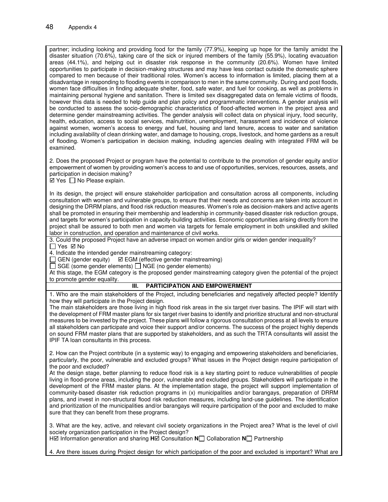partner; including looking and providing food for the family (77.9%), keeping up hope for the family amidst the disaster situation (70.6%), taking care of the sick or injured members of the family (55.9%), locating evacuation areas (44.1%), and helping out in disaster risk response in the community (20.6%). Women have limited opportunities to participate in decision-making structures and may have less contact outside the domestic sphere compared to men because of their traditional roles. Women's access to information is limited, placing them at a disadvantage in responding to flooding events in comparison to men in the same community. During and post floods, women face difficulties in finding adequate shelter, food, safe water, and fuel for cooking, as well as problems in maintaining personal hygiene and sanitation. There is limited sex disaggregated data on female victims of floods, however this data is needed to help guide and plan policy and programmatic interventions. A gender analysis will be conducted to assess the socio-demographic characteristics of flood-affected women in the project area and determine gender mainstreaming activities. The gender analysis will collect data on physical injury, food security, health, education, access to social services, malnutrition, unemployment, harassment and incidence of violence against women, women's access to energy and fuel, housing and land tenure, access to water and sanitation including availability of clean drinking water, and damage to housing, crops, livestock, and home gardens as a result of flooding. Women's participation in decision making, including agencies dealing with integrated FRM will be examined.

2. Does the proposed Project or program have the potential to contribute to the promotion of gender equity and/or empowerment of women by providing women's access to and use of opportunities, services, resources, assets, and participation in decision making?

 $\boxtimes$  Yes  $\Box$  No Please explain.

In its design, the project will ensure stakeholder participation and consultation across all components, including consultation with women and vulnerable groups, to ensure that their needs and concerns are taken into account in designing the DRRM plans, and flood risk reduction measures. Women's role as decision-makers and active agents shall be promoted in ensuring their membership and leadership in community-based disaster risk reduction groups, and targets for women's participation in capacity-building activities. Economic opportunities arising directly from the project shall be assured to both men and women via targets for female employment in both unskilled and skilled labor in construction, and operation and maintenance of civil works.

3. Could the proposed Project have an adverse impact on women and/or girls or widen gender inequality?  $\Box$  Yes  $\boxtimes$  No

4. Indicate the intended gender mainstreaming category:

 $\Box$  GEN (gender equity)  $\Box$  EGM (effective gender mainstreaming)

 $\Box$  SGE (some gender elements)  $\Box$  NGE (no gender elements)

At this stage, the EGM category is the proposed gender mainstreaming category given the potential of the project to promote gender equality.

#### **III. PARTICIPATION AND EMPOWERMENT**

1. Who are the main stakeholders of the Project, including beneficiaries and negatively affected people? Identify how they will participate in the Project design.

The main stakeholders are those living in high flood risk areas in the six target river basins. The IPIF will start with the development of FRM master plans for six target river basins to identify and prioritize structural and non-structural measures to be invested by the project. These plans will follow a rigorous consultation process at all levels to ensure all stakeholders can participate and voice their support and/or concerns. The success of the project highly depends on sound FRM master plans that are supported by stakeholders, and as such the TRTA consultants will assist the IPIF TA loan consultants in this process.

2. How can the Project contribute (in a systemic way) to engaging and empowering stakeholders and beneficiaries, particularly, the poor, vulnerable and excluded groups? What issues in the Project design require participation of the poor and excluded?

At the design stage, better planning to reduce flood risk is a key starting point to reduce vulnerabilities of people living in flood-prone areas, including the poor, vulnerable and excluded groups. Stakeholders will participate in the development of the FRM master plans. At the implementation stage, the project will support implementation of community-based disaster risk reduction programs in (x) municipalities and/or barangays, preparation of DRRM plans, and invest in non-structural flood risk reduction measures, including land-use guidelines. The identification and prioritization of the municipalities and/or barangays will require participation of the poor and excluded to make sure that they can benefit from these programs.

3. What are the key, active, and relevant civil society organizations in the Project area? What is the level of civil society organization participation in the Project design?

H $\boxtimes$  Information generation and sharing H $\angle$  Consultation **N** Collaboration **N** Partnership

4. Are there issues during Project design for which participation of the poor and excluded is important? What are